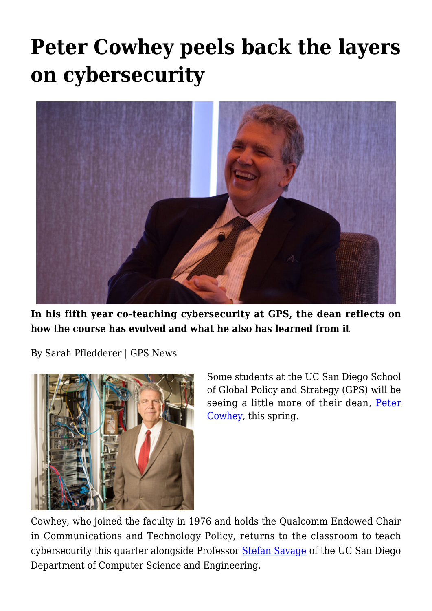## **[Peter Cowhey peels back the layers](https://gpsnews.ucsd.edu/peter-cowhey-peels-back-the-layers-on-cybersecurity/) [on cybersecurity](https://gpsnews.ucsd.edu/peter-cowhey-peels-back-the-layers-on-cybersecurity/)**



**In his fifth year co-teaching cybersecurity at GPS, the dean reflects on how the course has evolved and what he also has learned from it**

By Sarah Pfledderer | GPS News



Some students at the UC San Diego School of Global Policy and Strategy (GPS) will be seeing a little more of their dean, [Peter](https://gps.ucsd.edu/faculty-directory/peter-cowhey.html) [Cowhey](https://gps.ucsd.edu/faculty-directory/peter-cowhey.html), this spring.

Cowhey, who joined the faculty in 1976 and holds the Qualcomm Endowed Chair in Communications and Technology Policy, returns to the classroom to teach cybersecurity this quarter alongside Professor [Stefan Savage](http://cseweb.ucsd.edu/~savage/) of the UC San Diego Department of Computer Science and Engineering.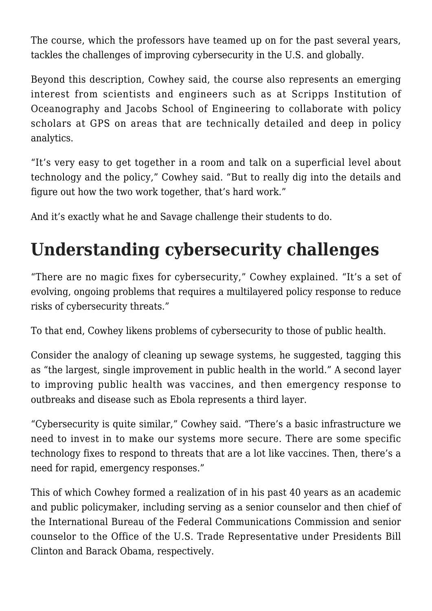The course, which the professors have teamed up on for the past several years, tackles the challenges of improving cybersecurity in the U.S. and globally.

Beyond this description, Cowhey said, the course also represents an emerging interest from scientists and engineers such as at Scripps Institution of Oceanography and Jacobs School of Engineering to collaborate with policy scholars at GPS on areas that are technically detailed and deep in policy analytics.

"It's very easy to get together in a room and talk on a superficial level about technology and the policy," Cowhey said. "But to really dig into the details and figure out how the two work together, that's hard work."

And it's exactly what he and Savage challenge their students to do.

## **Understanding cybersecurity challenges**

"There are no magic fixes for cybersecurity," Cowhey explained. "It's a set of evolving, ongoing problems that requires a multilayered policy response to reduce risks of cybersecurity threats."

To that end, Cowhey likens problems of cybersecurity to those of public health.

Consider the analogy of cleaning up sewage systems, he suggested, tagging this as "the largest, single improvement in public health in the world." A second layer to improving public health was vaccines, and then emergency response to outbreaks and disease such as Ebola represents a third layer.

"Cybersecurity is quite similar," Cowhey said. "There's a basic infrastructure we need to invest in to make our systems more secure. There are some specific technology fixes to respond to threats that are a lot like vaccines. Then, there's a need for rapid, emergency responses."

This of which Cowhey formed a realization of in his past 40 years as an academic and public policymaker, including serving as a senior counselor and then chief of the International Bureau of the Federal Communications Commission and senior counselor to the Office of the U.S. Trade Representative under Presidents Bill Clinton and Barack Obama, respectively.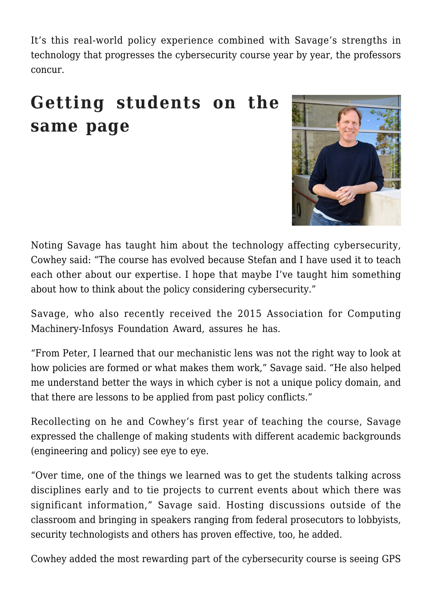It's this real-world policy experience combined with Savage's strengths in technology that progresses the cybersecurity course year by year, the professors concur.

## **Getting students on the same page**



Noting Savage has taught him about the technology affecting cybersecurity, Cowhey said: "The course has evolved because Stefan and I have used it to teach each other about our expertise. I hope that maybe I've taught him something about how to think about the policy considering cybersecurity."

Savage, who also recently received the 2015 Association for Computing Machinery-Infosys Foundation Award, assures he has.

"From Peter, I learned that our mechanistic lens was not the right way to look at how policies are formed or what makes them work," Savage said. "He also helped me understand better the ways in which cyber is not a unique policy domain, and that there are lessons to be applied from past policy conflicts."

Recollecting on he and Cowhey's first year of teaching the course, Savage expressed the challenge of making students with different academic backgrounds (engineering and policy) see eye to eye.

"Over time, one of the things we learned was to get the students talking across disciplines early and to tie projects to current events about which there was significant information," Savage said. Hosting discussions outside of the classroom and bringing in speakers ranging from federal prosecutors to lobbyists, security technologists and others has proven effective, too, he added.

Cowhey added the most rewarding part of the cybersecurity course is seeing GPS